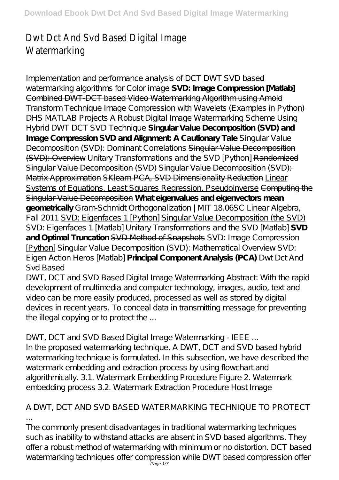## Dwt Dct And Svd Based Digita Watermarki

*Implementation and performance analysis of DCT DWT SVD based watermarking algorithms for Color image* **SVD: Image Compression [Matlab]** Combined DWT-DCT based Video Watermarking Algorithm using Arnold Transform Technique Image Compression with Wavelets (Examples in Python) *DHS MATLAB Projects A Robust Digital Image Watermarking Scheme Using Hybrid DWT DCT SVD Technique* **Singular Value Decomposition (SVD) and Image Compression SVD and Alignment: A Cautionary Tale** *Singular Value Decomposition (SVD): Dominant Correlations* Singular Value Decomposition (SVD): Overview *Unitary Transformations and the SVD [Python]* Randomized Singular Value Decomposition (SVD) Singular Value Decomposition (SVD): Matrix Approximation SKlearn PCA, SVD Dimensionality Reduction Linear Systems of Equations, Least Squares Regression, Pseudoinverse Computing the Singular Value Decomposition **What eigenvalues and eigenvectors mean geometrically** *Gram-Schmidt Orthogonalization | MIT 18.06SC Linear Algebra, Fall 2011* SVD: Eigenfaces 1 [Python] Singular Value Decomposition (the SVD) *SVD: Eigenfaces 1 [Matlab] Unitary Transformations and the SVD [Matlab]* **SVD and Optimal Truncation** SVD Method of Snapshots SVD: Image Compression [Python] *Singular Value Decomposition (SVD): Mathematical Overview SVD: Eigen Action Heros [Matlab]* **Principal Component Analysis (PCA)** Dwt Dct And Svd Based

DWT, DCT and SVD Based Digital Image Watermarking Abstract: With the rapid development of multimedia and computer technology, images, audio, text and video can be more easily produced, processed as well as stored by digital devices in recent years. To conceal data in transmitting message for preventing the illegal copying or to protect the ...

DWT, DCT and SVD Based Digital Image Watermarking - IEEE ... In the proposed watermarking technique, A DWT, DCT and SVD based hybrid watermarking technique is formulated. In this subsection, we have described the watermark embedding and extraction process by using flowchart and algorithmically. 3.1. Watermark Embedding Procedure Figure 2. Watermark embedding process 3.2. Watermark Extraction Procedure Host Image

A DWT, DCT AND SVD BASED WATERMARKING TECHNIQUE TO PROTECT ...

The commonly present disadvantages in traditional watermarking techniques such as inability to withstand attacks are absent in SVD based algorithms. They offer a robust method of watermarking with minimum or no distortion. DCT based watermarking techniques offer compression while DWT based compression offer Page 1/7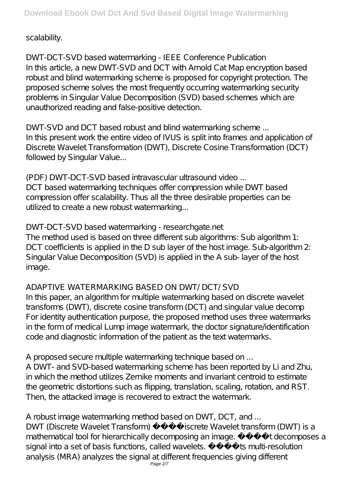scalability.

DWT-DCT-SVD based watermarking - IEEE Conference Publication In this article, a new DWT-SVD and DCT with Arnold Cat Map encryption based robust and blind watermarking scheme is proposed for copyright protection. The proposed scheme solves the most frequently occurring watermarking security problems in Singular Value Decomposition (SVD) based schemes which are unauthorized reading and false-positive detection.

DWT-SVD and DCT based robust and blind watermarking scheme ... In this present work the entire video of IVUS is split into frames and application of Discrete Wavelet Transformation (DWT), Discrete Cosine Transformation (DCT) followed by Singular Value...

(PDF) DWT-DCT-SVD based intravascular ultrasound video ... DCT based watermarking techniques offer compression while DWT based compression offer scalability. Thus all the three desirable properties can be utilized to create a new robust watermarking...

DWT-DCT-SVD based watermarking - researchgate.net The method used is based on three different sub algorithms: Sub algorithm 1: DCT coefficients is applied in the D sub layer of the host image. Sub-algorithm 2: Singular Value Decomposition (SVD) is applied in the A sub- layer of the host image.

ADAPTIVE WATERMARKING BASED ON DWT/DCT/SVD

In this paper, an algorithm for multiple watermarking based on discrete wavelet transforms (DWT), discrete cosine transform (DCT) and singular value decomp For identity authentication purpose, the proposed method uses three watermarks in the form of medical Lump image watermark, the doctor signature/identification code and diagnostic information of the patient as the text watermarks.

A proposed secure multiple watermarking technique based on ...

A DWT- and SVD-based watermarking scheme has been reported by Li and Zhu, in which the method utilizes Zernike moments and invariant centroid to estimate the geometric distortions such as flipping, translation, scaling, rotation, and RST. Then, the attacked image is recovered to extract the watermark.

A robust image watermarking method based on DWT, DCT, and ... DWT (Discrete Wavelet Transform) Discrete Wavelet transform (DWT) is a mathematical tool for hierarchically decomposing an image. It decomposes a signal into a set of basis functions, called wavelets. Its multi-resolution analysis (MRA) analyzes the signal at different frequencies giving different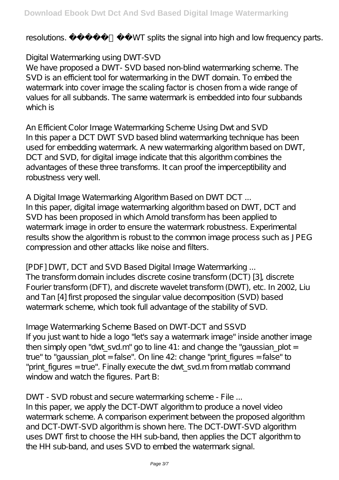resolutions. The DWT splits the signal into high and low frequency parts.

## Digital Watermarking using DWT-SVD

We have proposed a DWT-SVD based non-blind watermarking scheme. The SVD is an efficient tool for watermarking in the DWT domain. To embed the watermark into cover image the scaling factor is chosen from a wide range of values for all subbands. The same watermark is embedded into four subbands which is

An Efficient Color Image Watermarking Scheme Using Dwt and SVD In this paper a DCT DWT SVD based blind watermarking technique has been used for embedding watermark. A new watermarking algorithm based on DWT, DCT and SVD, for digital image indicate that this algorithm combines the advantages of these three transforms. It can proof the imperceptibility and robustness very well.

A Digital Image Watermarking Algorithm Based on DWT DCT ... In this paper, digital image watermarking algorithm based on DWT, DCT and SVD has been proposed in which Arnold transform has been applied to watermark image in order to ensure the watermark robustness. Experimental results show the algorithm is robust to the common image process such as JPEG compression and other attacks like noise and filters.

[PDF] DWT, DCT and SVD Based Digital Image Watermarking ... The transform domain includes discrete cosine transform (DCT) [3], discrete Fourier transform (DFT), and discrete wavelet transform (DWT), etc. In 2002, Liu and Tan [4] first proposed the singular value decomposition (SVD) based watermark scheme, which took full advantage of the stability of SVD.

Image Watermarking Scheme Based on DWT-DCT and SSVD If you just want to hide a logo "let's say a watermark image" inside another image then simply open "dwt svd.m" go to line 41: and change the "gaussian plot = true" to "gaussian\_plot = false". On line 42: change "print\_figures = false" to "print\_figures = true". Finally execute the dwt\_svd.m from matlab command window and watch the figures. Part B:

DWT - SVD robust and secure watermarking scheme - File ... In this paper, we apply the DCT-DWT algorithm to produce a novel video watermark scheme. A comparison experiment between the proposed algorithm and DCT-DWT-SVD algorithm is shown here. The DCT-DWT-SVD algorithm uses DWT first to choose the HH sub-band, then applies the DCT algorithm to the HH sub-band, and uses SVD to embed the watermark signal.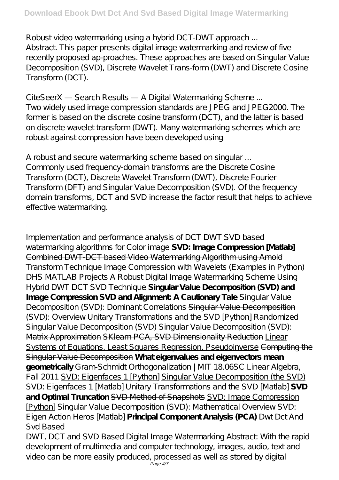Robust video watermarking using a hybrid DCT-DWT approach ... Abstract. This paper presents digital image watermarking and review of five recently proposed ap-proaches. These approaches are based on Singular Value Decomposition (SVD), Discrete Wavelet Trans-form (DWT) and Discrete Cosine Transform (DCT).

CiteSeerX — Search Results — A Digital Watermarking Scheme ... Two widely used image compression standards are JPEG and JPEG2000. The former is based on the discrete cosine transform (DCT), and the latter is based on discrete wavelet transform (DWT). Many watermarking schemes which are robust against compression have been developed using

A robust and secure watermarking scheme based on singular ... Commonly used frequency-domain transforms are the Discrete Cosine Transform (DCT), Discrete Wavelet Transform (DWT), Discrete Fourier Transform (DFT) and Singular Value Decomposition (SVD). Of the frequency domain transforms, DCT and SVD increase the factor result that helps to achieve effective watermarking.

*Implementation and performance analysis of DCT DWT SVD based watermarking algorithms for Color image* **SVD: Image Compression [Matlab]** Combined DWT-DCT based Video Watermarking Algorithm using Arnold Transform Technique Image Compression with Wavelets (Examples in Python) *DHS MATLAB Projects A Robust Digital Image Watermarking Scheme Using Hybrid DWT DCT SVD Technique* **Singular Value Decomposition (SVD) and Image Compression SVD and Alignment: A Cautionary Tale** *Singular Value Decomposition (SVD): Dominant Correlations* Singular Value Decomposition (SVD): Overview *Unitary Transformations and the SVD [Python]* Randomized Singular Value Decomposition (SVD) Singular Value Decomposition (SVD): Matrix Approximation SKlearn PCA, SVD Dimensionality Reduction Linear Systems of Equations, Least Squares Regression, Pseudoinverse Computing the Singular Value Decomposition **What eigenvalues and eigenvectors mean geometrically** *Gram-Schmidt Orthogonalization | MIT 18.06SC Linear Algebra, Fall 2011* SVD: Eigenfaces 1 [Python] Singular Value Decomposition (the SVD) *SVD: Eigenfaces 1 [Matlab] Unitary Transformations and the SVD [Matlab]* **SVD and Optimal Truncation** SVD Method of Snapshots SVD: Image Compression [Python] *Singular Value Decomposition (SVD): Mathematical Overview SVD: Eigen Action Heros [Matlab]* **Principal Component Analysis (PCA)** Dwt Dct And Svd Based

DWT, DCT and SVD Based Digital Image Watermarking Abstract: With the rapid development of multimedia and computer technology, images, audio, text and video can be more easily produced, processed as well as stored by digital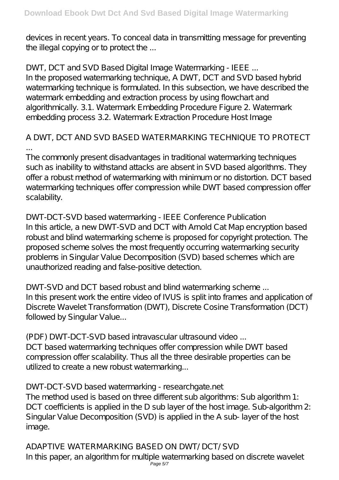devices in recent years. To conceal data in transmitting message for preventing the illegal copying or to protect the ...

DWT, DCT and SVD Based Digital Image Watermarking - IEEE ... In the proposed watermarking technique, A DWT, DCT and SVD based hybrid watermarking technique is formulated. In this subsection, we have described the watermark embedding and extraction process by using flowchart and algorithmically. 3.1. Watermark Embedding Procedure Figure 2. Watermark embedding process 3.2. Watermark Extraction Procedure Host Image

## A DWT, DCT AND SVD BASED WATERMARKING TECHNIQUE TO PROTECT ...

The commonly present disadvantages in traditional watermarking techniques such as inability to withstand attacks are absent in SVD based algorithms. They offer a robust method of watermarking with minimum or no distortion. DCT based watermarking techniques offer compression while DWT based compression offer scalability.

DWT-DCT-SVD based watermarking - IEEE Conference Publication In this article, a new DWT-SVD and DCT with Arnold Cat Map encryption based robust and blind watermarking scheme is proposed for copyright protection. The proposed scheme solves the most frequently occurring watermarking security problems in Singular Value Decomposition (SVD) based schemes which are unauthorized reading and false-positive detection.

DWT-SVD and DCT based robust and blind watermarking scheme ... In this present work the entire video of IVUS is split into frames and application of Discrete Wavelet Transformation (DWT), Discrete Cosine Transformation (DCT) followed by Singular Value...

(PDF) DWT-DCT-SVD based intravascular ultrasound video ... DCT based watermarking techniques offer compression while DWT based compression offer scalability. Thus all the three desirable properties can be utilized to create a new robust watermarking...

DWT-DCT-SVD based watermarking - researchgate.net The method used is based on three different sub algorithms: Sub algorithm 1: DCT coefficients is applied in the D sub layer of the host image. Sub-algorithm 2: Singular Value Decomposition (SVD) is applied in the A sub- layer of the host image.

ADAPTIVE WATERMARKING BASED ON DWT/DCT/SVD In this paper, an algorithm for multiple watermarking based on discrete wavelet Page 5/7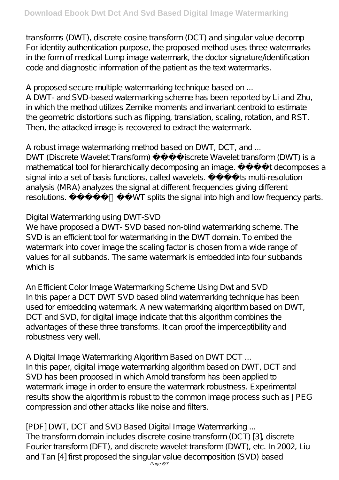transforms (DWT), discrete cosine transform (DCT) and singular value decomp For identity authentication purpose, the proposed method uses three watermarks in the form of medical Lump image watermark, the doctor signature/identification code and diagnostic information of the patient as the text watermarks.

A proposed secure multiple watermarking technique based on ...

A DWT- and SVD-based watermarking scheme has been reported by Li and Zhu, in which the method utilizes Zernike moments and invariant centroid to estimate the geometric distortions such as flipping, translation, scaling, rotation, and RST. Then, the attacked image is recovered to extract the watermark.

A robust image watermarking method based on DWT, DCT, and ... DWT (Discrete Wavelet Transform) Discrete Wavelet transform (DWT) is a mathematical tool for hierarchically decomposing an image. It decomposes a signal into a set of basis functions, called wavelets. Its multi-resolution analysis (MRA) analyzes the signal at different frequencies giving different resolutions. The DWT splits the signal into high and low frequency parts.

Digital Watermarking using DWT-SVD

We have proposed a DWT-SVD based non-blind watermarking scheme. The SVD is an efficient tool for watermarking in the DWT domain. To embed the watermark into cover image the scaling factor is chosen from a wide range of values for all subbands. The same watermark is embedded into four subbands which is

An Efficient Color Image Watermarking Scheme Using Dwt and SVD In this paper a DCT DWT SVD based blind watermarking technique has been used for embedding watermark. A new watermarking algorithm based on DWT, DCT and SVD, for digital image indicate that this algorithm combines the advantages of these three transforms. It can proof the imperceptibility and robustness very well.

A Digital Image Watermarking Algorithm Based on DWT DCT ... In this paper, digital image watermarking algorithm based on DWT, DCT and SVD has been proposed in which Arnold transform has been applied to watermark image in order to ensure the watermark robustness. Experimental results show the algorithm is robust to the common image process such as JPEG compression and other attacks like noise and filters.

[PDF] DWT, DCT and SVD Based Digital Image Watermarking ... The transform domain includes discrete cosine transform (DCT) [3], discrete Fourier transform (DFT), and discrete wavelet transform (DWT), etc. In 2002, Liu and Tan [4] first proposed the singular value decomposition (SVD) based Page 6/7